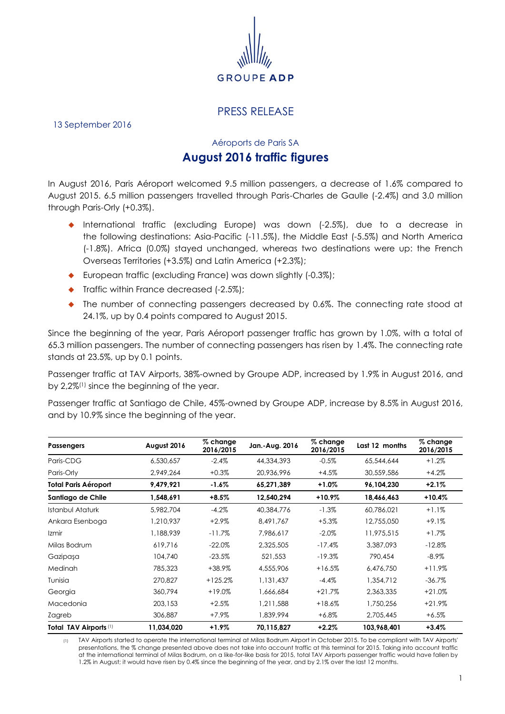

## PRESS RELEASE

13 September 2016

Aéroports de Paris SA

## **August 2016 traffic figures**

In August 2016, Paris Aéroport welcomed 9.5 million passengers, a decrease of 1.6% compared to August 2015. 6.5 million passengers travelled through Paris-Charles de Gaulle (-2.4%) and 3.0 million through Paris-Orly (+0.3%).

- International traffic (excluding Europe) was down (-2.5%), due to a decrease in the following destinations: Asia-Pacific (-11.5%), the Middle East (-5.5%) and North America (-1.8%). Africa (0.0%) stayed unchanged, whereas two destinations were up: the French Overseas Territories (+3.5%) and Latin America (+2.3%);
- ◆ European traffic (excluding France) was down slightly (-0.3%);
- ◆ Traffic within France decreased (-2.5%);
- The number of connecting passengers decreased by 0.6%. The connecting rate stood at 24.1%, up by 0.4 points compared to August 2015.

Since the beginning of the year, Paris Aéroport passenger traffic has grown by 1.0%, with a total of 65.3 million passengers. The number of connecting passengers has risen by 1.4%. The connecting rate stands at 23.5%, up by 0.1 points.

Passenger traffic at TAV Airports, 38%-owned by Groupe ADP, increased by 1.9% in August 2016, and by 2,2%(1) since the beginning of the year.

Passenger traffic at Santiago de Chile, 45%-owned by Groupe ADP, increase by 8.5% in August 2016, and by 10.9% since the beginning of the year.

| <b>Passengers</b>           | August 2016 | % change<br>2016/2015 | Jan.-Aug. 2016 | % change<br>2016/2015 | Last 12 months | % change<br>2016/2015 |
|-----------------------------|-------------|-----------------------|----------------|-----------------------|----------------|-----------------------|
| Paris-CDG                   | 6,530,657   | $-2.4%$               | 44,334,393     | $-0.5%$               | 65,544,644     | $+1.2%$               |
| Paris-Orly                  | 2,949,264   | $+0.3%$               | 20,936,996     | $+4.5%$               | 30,559,586     | $+4.2%$               |
| <b>Total Paris Aéroport</b> | 9,479,921   | $-1.6\%$              | 65,271,389     | $+1.0\%$              | 96,104,230     | $+2.1%$               |
| Santiago de Chile           | 1,548,691   | $+8.5%$               | 12,540,294     | $+10.9%$              | 18,466,463     | $+10.4%$              |
| Istanbul Ataturk            | 5,982,704   | $-4.2%$               | 40,384,776     | $-1.3%$               | 60,786,021     | $+1.1%$               |
| Ankara Esenboga             | 1.210.937   | $+2.9%$               | 8.491.767      | $+5.3%$               | 12,755,050     | $+9.1%$               |
| <i>Izmir</i>                | 1,188,939   | $-11.7\%$             | 7,986,617      | $-2.0\%$              | 11,975,515     | $+1.7%$               |
| Milas Bodrum                | 619,716     | $-22.0\%$             | 2,325,505      | $-17.4%$              | 3,387,093      | $-12.8%$              |
| Gazipaşa                    | 104,740     | $-23.5%$              | 521,553        | $-19.3%$              | 790,454        | $-8.9\%$              |
| <b>Medinah</b>              | 785,323     | +38.9%                | 4,555,906      | $+16.5%$              | 6,476,750      | $+11.9%$              |
| Tunisia                     | 270,827     | $+125.2%$             | 1,131,437      | $-4.4\%$              | 1,354,712      | $-36.7\%$             |
| Georgia                     | 360,794     | $+19.0%$              | 1,666,684      | $+21.7%$              | 2,363,335      | $+21.0%$              |
| Macedonia                   | 203,153     | $+2.5%$               | 1,211,588      | $+18.6%$              | 1,750,256      | $+21.9%$              |
| Zagreb                      | 306,887     | +7.9%                 | 1,839,994      | $+6.8\%$              | 2,705,445      | $+6.5%$               |
| Total TAV Airports (1)      | 11,034,020  | $+1.9\%$              | 70,115,827     | $+2.2%$               | 103,968,401    | $+3.4%$               |

(1) TAV Airports started to operate the international terminal at Milas Bodrum Airport in October 2015. To be compliant with TAV Airports' presentations, the % change presented above does not take into account traffic at this terminal for 2015. Taking into account traffic at the international terminal of Milas Bodrum, on a like-for-like basis for 2015, total TAV Airports passenger traffic would have fallen by 1.2% in August; it would have risen by 0.4% since the beginning of the year, and by 2.1% over the last 12 months.